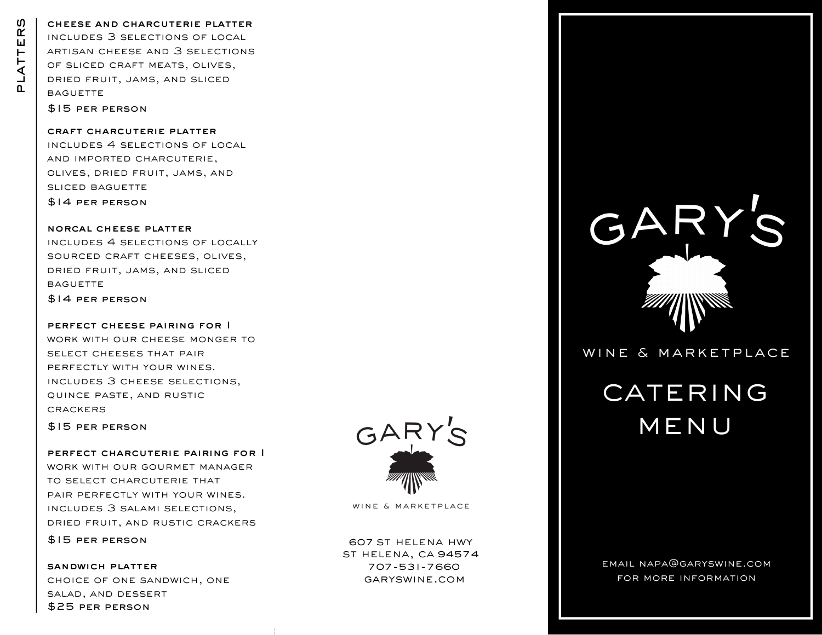# cheese and charcuterie platter

includes 3 selections of local artisan cheese and 3 selections of sliced craft meats, olives, dried fruit, jams, and sliced **BAGUETTE** 

\$15 per person

#### craft charcuterie platter

includes 4 selections of local and imported charcuterie, olives, dried fruit, jams, and sliced baguette

\$14 per person

norcal cheese platter includes 4 selections of locally sourced craft cheeses, olives, dried fruit, jams, and sliced **BAGUETTE** 

\$14 per person

perfect cheese pairing for 1 work with our cheese monger to select cheeses that pair perfectly with your wines. includes 3 cheese selections, quince paste, and rustic crackers

\$15 per person

perfect charcuterie pairing for 1 work with our gourmet manager to select charcuterie that pair perfectly with your wines. includes 3 salami selections, dried fruit, and rustic crackers

\$15 per person

sandwich platter \$25 per person choice of one sandwich, one salad, and dessert



WINE & MARKETPLACE

607 st helena hwy st helena, ca 94574 707-531-7660 garyswine.com



WINE & MARKETPLACE

# CATERING menu

email napa@garyswine.com for more information